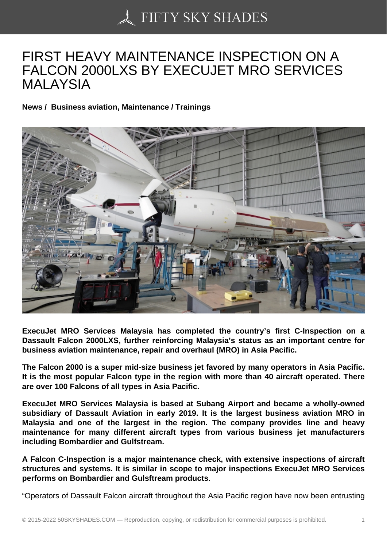## [FIRST HEAVY MAINTE](https://50skyshades.com)NANCE INSPECTION ON A FALCON 2000LXS BY EXECUJET MRO SERVICES MALAYSIA

News / Business aviation, Maintenance / Trainings

ExecuJet MRO Services Malaysia has completed the country's first C-Inspection on a Dassault Falcon 2000LXS, further reinforcing Malaysia's status as an important centre for business aviation maintenance, repair and overhaul (MRO) in Asia Pacific.

The Falcon 2000 is a super mid-size business jet favored by many operators in Asia Pacific. It is the most popular Falcon type in the region with more than 40 aircraft operated. There are over 100 Falcons of all types in Asia Pacific.

ExecuJet MRO Services Malaysia is based at Subang Airport and became a wholly-owned subsidiary of Dassault Aviation in early 2019. It is the largest business aviation MRO in Malaysia and one of the largest in the region. The company provides line and heavy maintenance for many different aircraft types from various business jet manufacturers including Bombardier and Gulfstream.

A Falcon C-Inspection is a major maintenance check, with extensive inspections of aircraft structures and systems. It is similar in scope to major inspections ExecuJet MRO Services performs on Bombardier and Gulsftream products .

"Operators of Dassault Falcon aircraft throughout the Asia Pacific region have now been entrusting